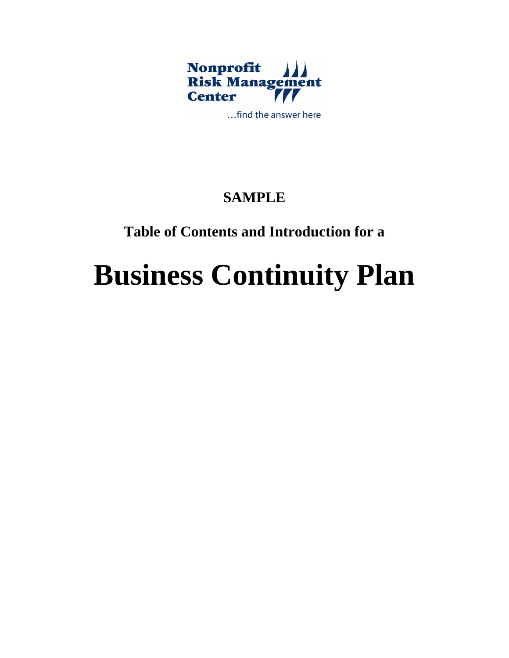

**SAMPLE** 

# **Table of Contents and Introduction for a**

# **Business Continuity Plan**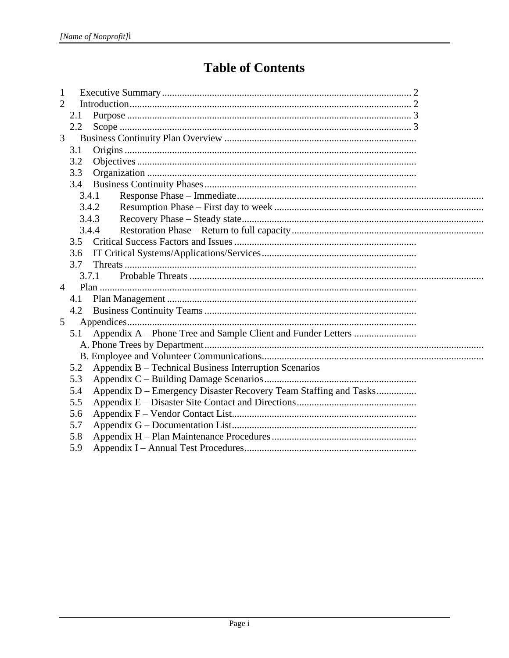# **Table of Contents**

| $\mathbf{1}$   |     |                                                                  |
|----------------|-----|------------------------------------------------------------------|
| $\overline{2}$ |     |                                                                  |
|                | 2.1 |                                                                  |
|                | 2.2 |                                                                  |
| 3              |     |                                                                  |
|                | 3.1 |                                                                  |
|                | 3.2 |                                                                  |
|                | 3.3 |                                                                  |
|                | 3.4 |                                                                  |
|                |     | 3.4.1                                                            |
|                |     | 3.4.2                                                            |
|                |     | 3.4.3                                                            |
|                |     | 3.4.4                                                            |
|                |     |                                                                  |
|                | 3.6 |                                                                  |
|                | 3.7 |                                                                  |
|                |     | 3.7.1                                                            |
| $\overline{4}$ |     |                                                                  |
|                | 4.1 |                                                                  |
|                | 4.2 |                                                                  |
| 5              |     |                                                                  |
|                | 5.1 |                                                                  |
|                |     |                                                                  |
|                |     |                                                                  |
|                | 5.2 | Appendix B – Technical Business Interruption Scenarios           |
|                | 5.3 |                                                                  |
|                | 5.4 | Appendix D - Emergency Disaster Recovery Team Staffing and Tasks |
|                | 5.5 |                                                                  |
|                | 5.6 |                                                                  |
|                | 5.7 |                                                                  |
|                | 5.8 |                                                                  |
|                | 5.9 |                                                                  |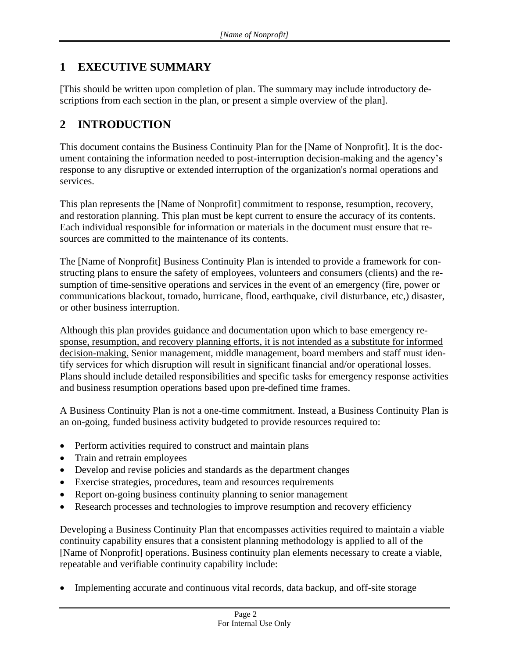## <span id="page-2-0"></span>**1 EXECUTIVE SUMMARY**

[This should be written upon completion of plan. The summary may include introductory descriptions from each section in the plan, or present a simple overview of the plan].

## <span id="page-2-1"></span>**2 INTRODUCTION**

This document contains the Business Continuity Plan for the [Name of Nonprofit]. It is the document containing the information needed to post-interruption decision-making and the agency's response to any disruptive or extended interruption of the organization's normal operations and services.

This plan represents the [Name of Nonprofit] commitment to response, resumption, recovery, and restoration planning. This plan must be kept current to ensure the accuracy of its contents. Each individual responsible for information or materials in the document must ensure that resources are committed to the maintenance of its contents.

The [Name of Nonprofit] Business Continuity Plan is intended to provide a framework for constructing plans to ensure the safety of employees, volunteers and consumers (clients) and the resumption of time-sensitive operations and services in the event of an emergency (fire, power or communications blackout, tornado, hurricane, flood, earthquake, civil disturbance, etc,) disaster, or other business interruption.

Although this plan provides guidance and documentation upon which to base emergency response, resumption, and recovery planning efforts, it is not intended as a substitute for informed decision-making. Senior management, middle management, board members and staff must identify services for which disruption will result in significant financial and/or operational losses. Plans should include detailed responsibilities and specific tasks for emergency response activities and business resumption operations based upon pre-defined time frames.

A Business Continuity Plan is not a one-time commitment. Instead, a Business Continuity Plan is an on-going, funded business activity budgeted to provide resources required to:

- Perform activities required to construct and maintain plans
- Train and retrain employees
- Develop and revise policies and standards as the department changes
- Exercise strategies, procedures, team and resources requirements
- Report on-going business continuity planning to senior management
- Research processes and technologies to improve resumption and recovery efficiency

Developing a Business Continuity Plan that encompasses activities required to maintain a viable continuity capability ensures that a consistent planning methodology is applied to all of the [Name of Nonprofit] operations. Business continuity plan elements necessary to create a viable, repeatable and verifiable continuity capability include:

• Implementing accurate and continuous vital records, data backup, and off-site storage